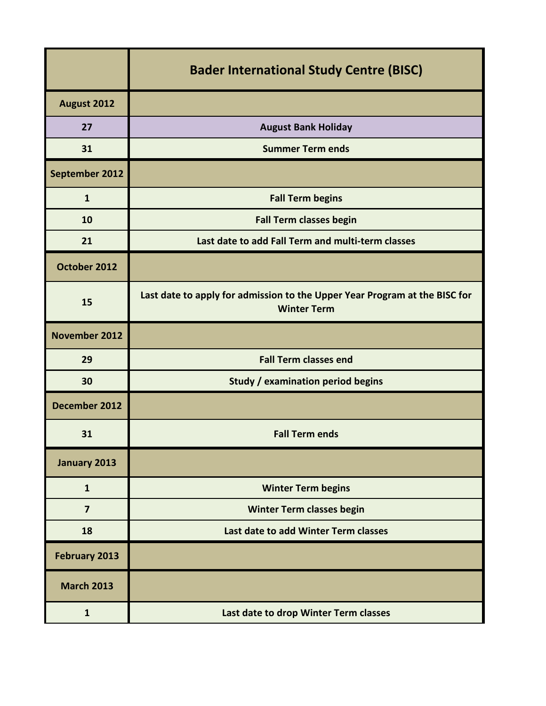|                      | <b>Bader International Study Centre (BISC)</b>                                                   |
|----------------------|--------------------------------------------------------------------------------------------------|
| August 2012          |                                                                                                  |
| 27                   | <b>August Bank Holiday</b>                                                                       |
| 31                   | <b>Summer Term ends</b>                                                                          |
| September 2012       |                                                                                                  |
| $\mathbf{1}$         | <b>Fall Term begins</b>                                                                          |
| 10                   | <b>Fall Term classes begin</b>                                                                   |
| 21                   | Last date to add Fall Term and multi-term classes                                                |
| October 2012         |                                                                                                  |
| 15                   | Last date to apply for admission to the Upper Year Program at the BISC for<br><b>Winter Term</b> |
| <b>November 2012</b> |                                                                                                  |
| 29                   | <b>Fall Term classes end</b>                                                                     |
| 30                   | <b>Study / examination period begins</b>                                                         |
| December 2012        |                                                                                                  |
| 31                   | <b>Fall Term ends</b>                                                                            |
| January 2013         |                                                                                                  |
| $\mathbf{1}$         | <b>Winter Term begins</b>                                                                        |
| $\overline{7}$       | <b>Winter Term classes begin</b>                                                                 |
| 18                   | Last date to add Winter Term classes                                                             |
| <b>February 2013</b> |                                                                                                  |
| <b>March 2013</b>    |                                                                                                  |
| $\mathbf{1}$         | Last date to drop Winter Term classes                                                            |